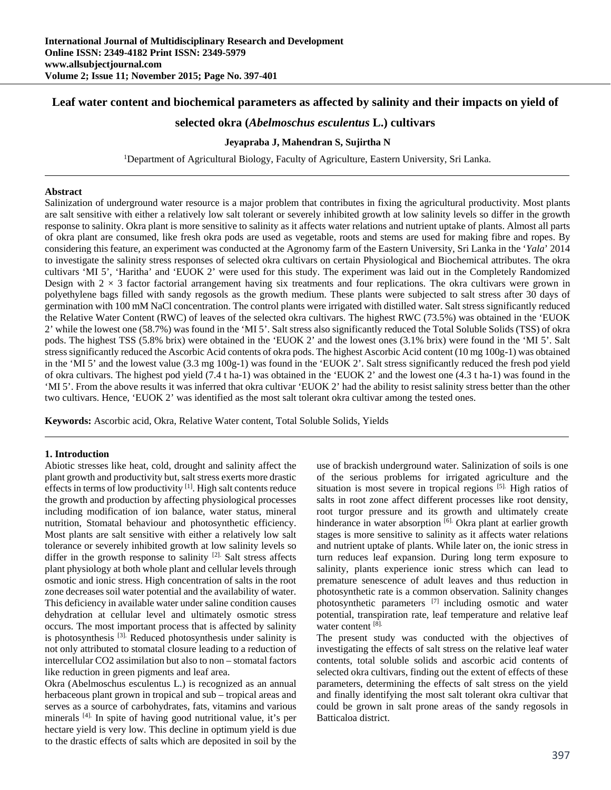## **Leaf water content and biochemical parameters as affected by salinity and their impacts on yield of**

# **selected okra (***Abelmoschus esculentus* **L.) cultivars**

## **Jeyapraba J, Mahendran S, Sujirtha N**

<sup>1</sup>Department of Agricultural Biology, Faculty of Agriculture, Eastern University, Sri Lanka.

## **Abstract**

Salinization of underground water resource is a major problem that contributes in fixing the agricultural productivity. Most plants are salt sensitive with either a relatively low salt tolerant or severely inhibited growth at low salinity levels so differ in the growth response to salinity. Okra plant is more sensitive to salinity as it affects water relations and nutrient uptake of plants. Almost all parts of okra plant are consumed, like fresh okra pods are used as vegetable, roots and stems are used for making fibre and ropes. By considering this feature, an experiment was conducted at the Agronomy farm of the Eastern University, Sri Lanka in the '*Yala*' 2014 to investigate the salinity stress responses of selected okra cultivars on certain Physiological and Biochemical attributes. The okra cultivars 'MI 5', 'Haritha' and 'EUOK 2' were used for this study. The experiment was laid out in the Completely Randomized Design with  $2 \times 3$  factor factorial arrangement having six treatments and four replications. The okra cultivars were grown in polyethylene bags filled with sandy regosols as the growth medium. These plants were subjected to salt stress after 30 days of germination with 100 mM NaCl concentration. The control plants were irrigated with distilled water. Salt stress significantly reduced the Relative Water Content (RWC) of leaves of the selected okra cultivars. The highest RWC (73.5%) was obtained in the 'EUOK 2' while the lowest one (58.7%) was found in the 'MI 5'. Salt stress also significantly reduced the Total Soluble Solids (TSS) of okra pods. The highest TSS (5.8% brix) were obtained in the 'EUOK 2' and the lowest ones (3.1% brix) were found in the 'MI 5'. Salt stress significantly reduced the Ascorbic Acid contents of okra pods. The highest Ascorbic Acid content (10 mg 100g-1) was obtained in the 'MI 5' and the lowest value (3.3 mg 100g-1) was found in the 'EUOK 2'. Salt stress significantly reduced the fresh pod yield of okra cultivars. The highest pod yield (7.4 t ha-1) was obtained in the 'EUOK 2' and the lowest one (4.3 t ha-1) was found in the 'MI 5'. From the above results it was inferred that okra cultivar 'EUOK 2' had the ability to resist salinity stress better than the other two cultivars. Hence, 'EUOK 2' was identified as the most salt tolerant okra cultivar among the tested ones.

**Keywords:** Ascorbic acid, Okra, Relative Water content, Total Soluble Solids, Yields

#### **1. Introduction**

Abiotic stresses like heat, cold, drought and salinity affect the plant growth and productivity but, salt stress exerts more drastic effects in terms of low productivity [1]. High salt contents reduce the growth and production by affecting physiological processes including modification of ion balance, water status, mineral nutrition, Stomatal behaviour and photosynthetic efficiency. Most plants are salt sensitive with either a relatively low salt tolerance or severely inhibited growth at low salinity levels so differ in the growth response to salinity  $[2]$ . Salt stress affects plant physiology at both whole plant and cellular levels through osmotic and ionic stress. High concentration of salts in the root zone decreases soil water potential and the availability of water. This deficiency in available water under saline condition causes dehydration at cellular level and ultimately osmotic stress occurs. The most important process that is affected by salinity is photosynthesis <sup>[3].</sup> Reduced photosynthesis under salinity is not only attributed to stomatal closure leading to a reduction of intercellular CO2 assimilation but also to non – stomatal factors like reduction in green pigments and leaf area.

Okra (Abelmoschus esculentus L.) is recognized as an annual herbaceous plant grown in tropical and sub – tropical areas and serves as a source of carbohydrates, fats, vitamins and various minerals [4]. In spite of having good nutritional value, it's per hectare yield is very low. This decline in optimum yield is due to the drastic effects of salts which are deposited in soil by the

use of brackish underground water. Salinization of soils is one of the serious problems for irrigated agriculture and the situation is most severe in tropical regions [5]. High ratios of salts in root zone affect different processes like root density, root turgor pressure and its growth and ultimately create hinderance in water absorption [6]. Okra plant at earlier growth stages is more sensitive to salinity as it affects water relations and nutrient uptake of plants. While later on, the ionic stress in turn reduces leaf expansion. During long term exposure to salinity, plants experience ionic stress which can lead to premature senescence of adult leaves and thus reduction in photosynthetic rate is a common observation. Salinity changes photosynthetic parameters [7] including osmotic and water potential, transpiration rate, leaf temperature and relative leaf water content [8].

The present study was conducted with the objectives of investigating the effects of salt stress on the relative leaf water contents, total soluble solids and ascorbic acid contents of selected okra cultivars, finding out the extent of effects of these parameters, determining the effects of salt stress on the yield and finally identifying the most salt tolerant okra cultivar that could be grown in salt prone areas of the sandy regosols in Batticaloa district.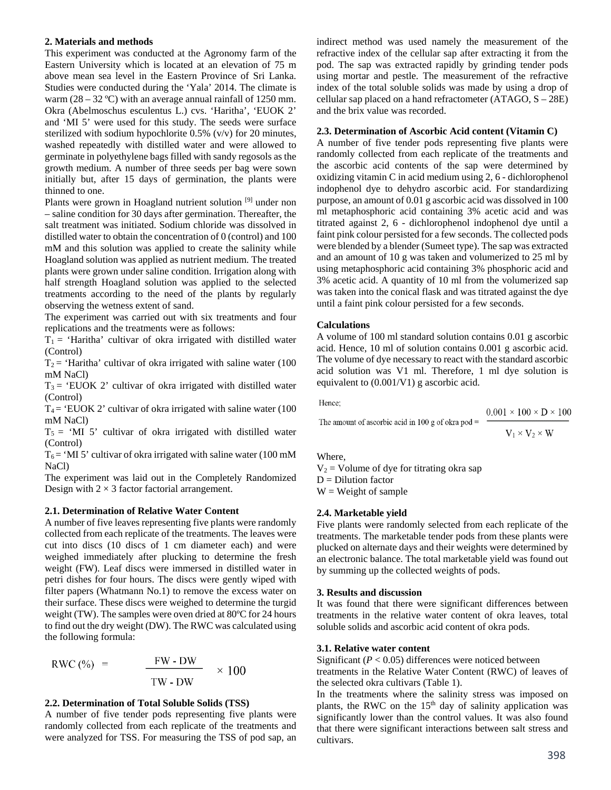#### **2. Materials and methods**

This experiment was conducted at the Agronomy farm of the Eastern University which is located at an elevation of 75 m above mean sea level in the Eastern Province of Sri Lanka. Studies were conducted during the 'Yala' 2014. The climate is warm  $(28 - 32 \text{ °C})$  with an average annual rainfall of 1250 mm. Okra (Abelmoschus esculentus L.) cvs. 'Haritha', 'EUOK 2' and 'MI 5' were used for this study. The seeds were surface sterilized with sodium hypochlorite 0.5% (v/v) for 20 minutes, washed repeatedly with distilled water and were allowed to germinate in polyethylene bags filled with sandy regosols as the growth medium. A number of three seeds per bag were sown initially but, after 15 days of germination, the plants were thinned to one.

Plants were grown in Hoagland nutrient solution<sup>[9]</sup> under non – saline condition for 30 days after germination. Thereafter, the salt treatment was initiated. Sodium chloride was dissolved in distilled water to obtain the concentration of 0 (control) and 100 mM and this solution was applied to create the salinity while Hoagland solution was applied as nutrient medium. The treated plants were grown under saline condition. Irrigation along with half strength Hoagland solution was applied to the selected treatments according to the need of the plants by regularly observing the wetness extent of sand.

The experiment was carried out with six treatments and four replications and the treatments were as follows:

 $T_1$  = 'Haritha' cultivar of okra irrigated with distilled water (Control)

 $T_2$  = 'Haritha' cultivar of okra irrigated with saline water (100 mM NaCl)

 $T_3$  = 'EUOK 2' cultivar of okra irrigated with distilled water (Control)

 $T_4$  = 'EUOK 2' cultivar of okra irrigated with saline water (100) mM NaCl)

 $T_5$  = 'MI 5' cultivar of okra irrigated with distilled water (Control)

 $T_6$  = 'MI 5' cultivar of okra irrigated with saline water (100 mM NaCl)

The experiment was laid out in the Completely Randomized Design with  $2 \times 3$  factor factorial arrangement.

## **2.1. Determination of Relative Water Content**

A number of five leaves representing five plants were randomly collected from each replicate of the treatments. The leaves were cut into discs (10 discs of 1 cm diameter each) and were weighed immediately after plucking to determine the fresh weight (FW). Leaf discs were immersed in distilled water in petri dishes for four hours. The discs were gently wiped with filter papers (Whatmann No.1) to remove the excess water on their surface. These discs were weighed to determine the turgid weight (TW). The samples were oven dried at 80ºC for 24 hours to find out the dry weight (DW). The RWC was calculated using the following formula:

$$
RWC\left(\% \right) = \frac{FW - DW}{TW - DW} \times 100
$$

## **2.2. Determination of Total Soluble Solids (TSS)**

A number of five tender pods representing five plants were randomly collected from each replicate of the treatments and were analyzed for TSS. For measuring the TSS of pod sap, an

indirect method was used namely the measurement of the refractive index of the cellular sap after extracting it from the pod. The sap was extracted rapidly by grinding tender pods using mortar and pestle. The measurement of the refractive index of the total soluble solids was made by using a drop of cellular sap placed on a hand refractometer (ATAGO, S – 28E) and the brix value was recorded.

## **2.3. Determination of Ascorbic Acid content (Vitamin C)**

A number of five tender pods representing five plants were randomly collected from each replicate of the treatments and the ascorbic acid contents of the sap were determined by oxidizing vitamin C in acid medium using 2, 6 - dichlorophenol indophenol dye to dehydro ascorbic acid. For standardizing purpose, an amount of 0.01 g ascorbic acid was dissolved in 100 ml metaphosphoric acid containing 3% acetic acid and was titrated against 2, 6 - dichlorophenol indophenol dye until a faint pink colour persisted for a few seconds. The collected pods were blended by a blender (Sumeet type). The sap was extracted and an amount of 10 g was taken and volumerized to 25 ml by using metaphosphoric acid containing 3% phosphoric acid and 3% acetic acid. A quantity of 10 ml from the volumerized sap was taken into the conical flask and was titrated against the dye until a faint pink colour persisted for a few seconds.

## **Calculations**

A volume of 100 ml standard solution contains 0.01 g ascorbic acid. Hence, 10 ml of solution contains 0.001 g ascorbic acid. The volume of dye necessary to react with the standard ascorbic acid solution was V1 ml. Therefore, 1 ml dye solution is equivalent to (0.001/V1) g ascorbic acid.

Hence:

The amount of ascorbic acid in 100 g of okra pod = 
$$
-
$$

$$
\frac{0.001 \times 100 \times D \times 100}{V_1 \times V_2 \times W}
$$

Where,

 $V_2$  = Volume of dye for titrating okra sap  $D = Dilution factor$  $W = Weight of sample$ 

## **2.4. Marketable yield**

Five plants were randomly selected from each replicate of the treatments. The marketable tender pods from these plants were plucked on alternate days and their weights were determined by an electronic balance. The total marketable yield was found out by summing up the collected weights of pods.

#### **3. Results and discussion**

It was found that there were significant differences between treatments in the relative water content of okra leaves, total soluble solids and ascorbic acid content of okra pods.

#### **3.1. Relative water content**

Significant  $(P < 0.05)$  differences were noticed between treatments in the Relative Water Content (RWC) of leaves of the selected okra cultivars (Table 1).

In the treatments where the salinity stress was imposed on plants, the RWC on the 15<sup>th</sup> day of salinity application was significantly lower than the control values. It was also found that there were significant interactions between salt stress and cultivars.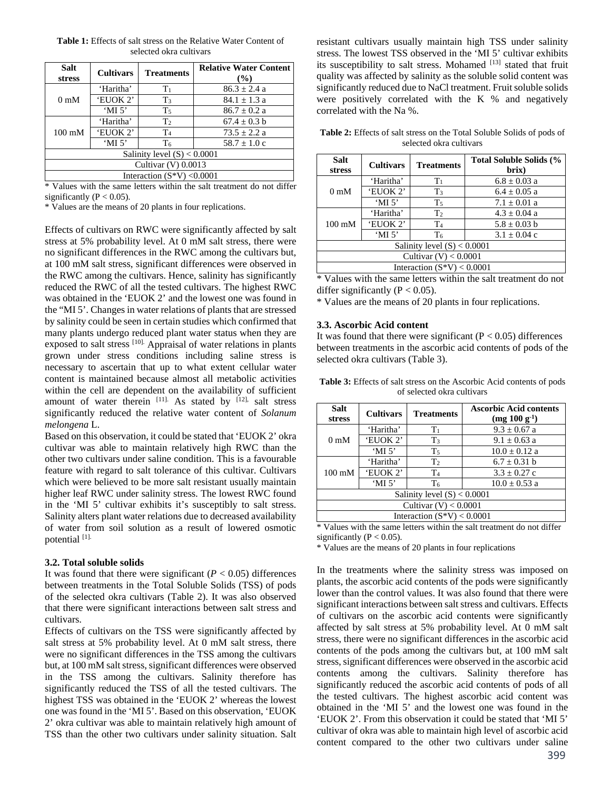| Salt<br><b>stress</b>         | <b>Cultivars</b>                              | <b>Treatments</b> | <b>Relative Water Content</b><br>$($ %) |  |
|-------------------------------|-----------------------------------------------|-------------------|-----------------------------------------|--|
| 0 <sub>m</sub> M              | 'Haritha'                                     | $T_1$             | $86.3 \pm 2.4 a$                        |  |
|                               | 'EUOK 2'                                      | $T_3$             | $84.1 \pm 1.3$ a                        |  |
|                               | $^{\circ}$ MI 5 $^{\circ}$                    | T <sub>5</sub>    | $86.7 \pm 0.2$ a                        |  |
| $100 \text{ mM}$              | 'Haritha'                                     | T <sub>2</sub>    | $67.4 \pm 0.3$ b                        |  |
|                               | 'EUOK 2'                                      | T <sub>4</sub>    | $73.5 \pm 2.2 a$                        |  |
|                               | $^{\circ}$ MI 5 <sup><math>\circ</math></sup> | T <sub>6</sub>    | $58.7 \pm 1.0$ c                        |  |
| Salinity level $(S) < 0.0001$ |                                               |                   |                                         |  |
| Cultivar $(V)$ 0.0013         |                                               |                   |                                         |  |
| Interaction $(S^*V) < 0.0001$ |                                               |                   |                                         |  |

**Table 1:** Effects of salt stress on the Relative Water Content of selected okra cultivars

\* Values with the same letters within the salt treatment do not differ significantly ( $P < 0.05$ ).

\* Values are the means of 20 plants in four replications.

Effects of cultivars on RWC were significantly affected by salt stress at 5% probability level. At 0 mM salt stress, there were no significant differences in the RWC among the cultivars but, at 100 mM salt stress, significant differences were observed in the RWC among the cultivars. Hence, salinity has significantly reduced the RWC of all the tested cultivars. The highest RWC was obtained in the 'EUOK 2' and the lowest one was found in the "MI 5'. Changes in water relations of plants that are stressed by salinity could be seen in certain studies which confirmed that many plants undergo reduced plant water status when they are exposed to salt stress [10]. Appraisal of water relations in plants grown under stress conditions including saline stress is necessary to ascertain that up to what extent cellular water content is maintained because almost all metabolic activities within the cell are dependent on the availability of sufficient amount of water therein  $[11]$ . As stated by  $[12]$ , salt stress significantly reduced the relative water content of *Solanum melongena* L.

Based on this observation, it could be stated that 'EUOK 2' okra cultivar was able to maintain relatively high RWC than the other two cultivars under saline condition. This is a favourable feature with regard to salt tolerance of this cultivar. Cultivars which were believed to be more salt resistant usually maintain higher leaf RWC under salinity stress. The lowest RWC found in the 'MI 5' cultivar exhibits it's susceptibly to salt stress. Salinity alters plant water relations due to decreased availability of water from soil solution as a result of lowered osmotic potential [1].

#### **3.2. Total soluble solids**

It was found that there were significant  $(P < 0.05)$  differences between treatments in the Total Soluble Solids (TSS) of pods of the selected okra cultivars (Table 2). It was also observed that there were significant interactions between salt stress and cultivars.

Effects of cultivars on the TSS were significantly affected by salt stress at 5% probability level. At 0 mM salt stress, there were no significant differences in the TSS among the cultivars but, at 100 mM salt stress, significant differences were observed in the TSS among the cultivars. Salinity therefore has significantly reduced the TSS of all the tested cultivars. The highest TSS was obtained in the 'EUOK 2' whereas the lowest one was found in the 'MI 5'. Based on this observation, 'EUOK 2' okra cultivar was able to maintain relatively high amount of TSS than the other two cultivars under salinity situation. Salt

resistant cultivars usually maintain high TSS under salinity stress. The lowest TSS observed in the 'MI 5' cultivar exhibits its susceptibility to salt stress. Mohamed [13] stated that fruit quality was affected by salinity as the soluble solid content was significantly reduced due to NaCl treatment. Fruit soluble solids were positively correlated with the K % and negatively correlated with the Na %.

**Table 2:** Effects of salt stress on the Total Soluble Solids of pods of selected okra cultivars

| <b>Salt</b><br>stress         | <b>Cultivars</b>                              | <b>Treatments</b> | Total Soluble Solids (%<br>brix) |  |
|-------------------------------|-----------------------------------------------|-------------------|----------------------------------|--|
| 0 <sub>m</sub> M              | 'Haritha'                                     | $T_1$             | $6.8 \pm 0.03$ a                 |  |
|                               | 'EUOK 2'                                      | $T_3$             | $6.4 \pm 0.05$ a                 |  |
|                               | 'MI $5$ '                                     | $T_5$             | $7.1 \pm 0.01$ a                 |  |
| $100 \text{ mM}$              | 'Haritha'                                     | T <sub>2</sub>    | $4.3 \pm 0.04$ a                 |  |
|                               | 'EUOK 2'                                      | T <sub>4</sub>    | $5.8 \pm 0.03$ b                 |  |
|                               | $^{\circ}$ MI 5 <sup><math>\circ</math></sup> | T <sub>6</sub>    | $3.1 \pm 0.04$ c                 |  |
| Salinity level $(S) < 0.0001$ |                                               |                   |                                  |  |
| Cultivar $(V) < 0.0001$       |                                               |                   |                                  |  |
| Interaction $(S^*V) < 0.0001$ |                                               |                   |                                  |  |

\* Values with the same letters within the salt treatment do not differ significantly ( $P < 0.05$ ).

\* Values are the means of 20 plants in four replications.

#### **3.3. Ascorbic Acid content**

It was found that there were significant ( $P < 0.05$ ) differences between treatments in the ascorbic acid contents of pods of the selected okra cultivars (Table 3).

| <b>Table 3:</b> Effects of salt stress on the Ascorbic Acid contents of pods |
|------------------------------------------------------------------------------|
| of selected okra cultivars                                                   |

| Salt<br><b>stress</b>                                                                                                                                                                                                                               | <b>Cultivars</b> | <b>Treatments</b> | <b>Ascorbic Acid contents</b><br>$(mg 100 g^{-1})$ |  |
|-----------------------------------------------------------------------------------------------------------------------------------------------------------------------------------------------------------------------------------------------------|------------------|-------------------|----------------------------------------------------|--|
| 0 <sub>m</sub> M                                                                                                                                                                                                                                    | 'Haritha'        | T <sub>1</sub>    | $9.3 \pm 0.67$ a                                   |  |
|                                                                                                                                                                                                                                                     | 'EUOK 2'         | $T_3$             | $9.1 \pm 0.63$ a                                   |  |
|                                                                                                                                                                                                                                                     | $^{\circ}$ MI 5' | T <sub>5</sub>    | $10.0 \pm 0.12$ a                                  |  |
| $100 \text{ mM}$                                                                                                                                                                                                                                    | 'Haritha'        | T <sub>2</sub>    | $6.7 \pm 0.31$ b                                   |  |
|                                                                                                                                                                                                                                                     | 'EUOK 2'         | T <sub>4</sub>    | $3.3 \pm 0.27$ c                                   |  |
|                                                                                                                                                                                                                                                     | 'MI $5$ '        | T <sub>6</sub>    | $10.0 \pm 0.53$ a                                  |  |
| Salinity level $(S) < 0.0001$                                                                                                                                                                                                                       |                  |                   |                                                    |  |
| Cultivar $(V) < 0.0001$                                                                                                                                                                                                                             |                  |                   |                                                    |  |
| Interaction $(S^*V) < 0.0001$                                                                                                                                                                                                                       |                  |                   |                                                    |  |
| $\mathbf{r} \cdot \mathbf{r}$ , and the set of the set of the set of the set of the set of the set of the set of the set of the set of the set of the set of the set of the set of the set of the set of the set of the set of the set of<br>1.77.1 |                  |                   |                                                    |  |

Values with the same letters within the salt treatment do not differ significantly ( $P < 0.05$ ).

\* Values are the means of 20 plants in four replications

In the treatments where the salinity stress was imposed on plants, the ascorbic acid contents of the pods were significantly lower than the control values. It was also found that there were significant interactions between salt stress and cultivars. Effects of cultivars on the ascorbic acid contents were significantly affected by salt stress at 5% probability level. At 0 mM salt stress, there were no significant differences in the ascorbic acid contents of the pods among the cultivars but, at 100 mM salt stress, significant differences were observed in the ascorbic acid contents among the cultivars. Salinity therefore has significantly reduced the ascorbic acid contents of pods of all the tested cultivars. The highest ascorbic acid content was obtained in the 'MI 5' and the lowest one was found in the 'EUOK 2'. From this observation it could be stated that 'MI 5' cultivar of okra was able to maintain high level of ascorbic acid content compared to the other two cultivars under saline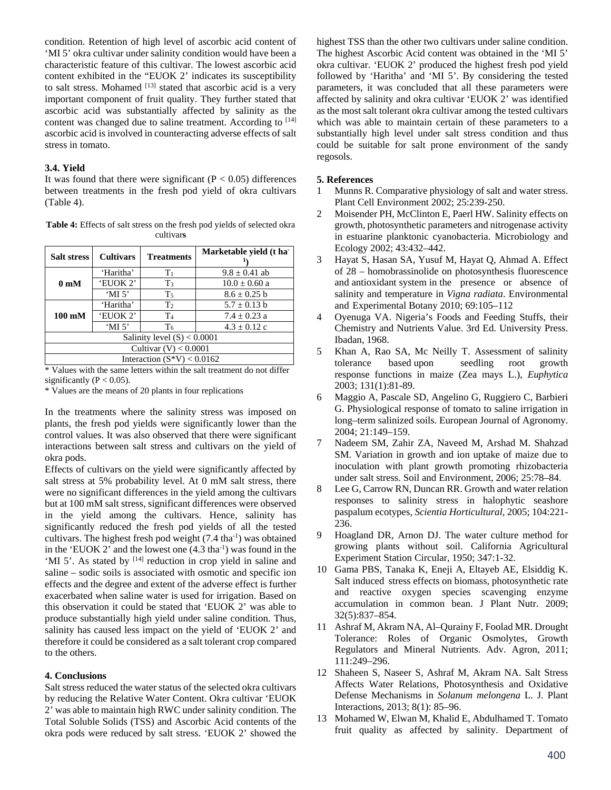condition. Retention of high level of ascorbic acid content of 'MI 5' okra cultivar under salinity condition would have been a characteristic feature of this cultivar. The lowest ascorbic acid content exhibited in the "EUOK 2' indicates its susceptibility to salt stress. Mohamed [13] stated that ascorbic acid is a very important component of fruit quality. They further stated that ascorbic acid was substantially affected by salinity as the content was changed due to saline treatment. According to  $[14]$ ascorbic acid is involved in counteracting adverse effects of salt stress in tomato.

#### **3.4. Yield**

It was found that there were significant ( $P < 0.05$ ) differences between treatments in the fresh pod yield of okra cultivars (Table 4).

**Table 4:** Effects of salt stress on the fresh pod yields of selected okra cultivar**s** 

| <b>Salt stress</b>            | <b>Cultivars</b>           | <b>Treatments</b> | Marketable yield (t ha |  |
|-------------------------------|----------------------------|-------------------|------------------------|--|
| 0 <sub>m</sub> M              | 'Haritha'                  | T <sub>1</sub>    | $9.8 \pm 0.41$ ab      |  |
|                               | 'EUOK 2'                   | $T_3$             | $10.0 \pm 0.60$ a      |  |
|                               | $^{\circ}$ MI 5 $^{\circ}$ | T <sub>5</sub>    | $8.6 \pm 0.25$ b       |  |
| $100 \text{ mM}$              | 'Haritha'                  | T <sub>2</sub>    | $5.7 \pm 0.13$ b       |  |
|                               | 'EUOK 2'                   | T <sub>4</sub>    | $7.4 \pm 0.23$ a       |  |
|                               | $^{\circ}$ MI 5 $^{\circ}$ | T <sub>6</sub>    | $4.3 \pm 0.12$ c       |  |
| Salinity level $(S) < 0.0001$ |                            |                   |                        |  |
| Cultivar $(V) < 0.0001$       |                            |                   |                        |  |
| Interaction $(S^*V) < 0.0162$ |                            |                   |                        |  |

\* Values with the same letters within the salt treatment do not differ significantly ( $P < 0.05$ ).

\* Values are the means of 20 plants in four replications

In the treatments where the salinity stress was imposed on plants, the fresh pod yields were significantly lower than the control values. It was also observed that there were significant interactions between salt stress and cultivars on the yield of okra pods.

Effects of cultivars on the yield were significantly affected by salt stress at 5% probability level. At 0 mM salt stress, there were no significant differences in the yield among the cultivars but at 100 mM salt stress, significant differences were observed in the yield among the cultivars. Hence, salinity has significantly reduced the fresh pod yields of all the tested cultivars. The highest fresh pod weight  $(7.4 \text{ tha}^{-1})$  was obtained in the 'EUOK 2' and the lowest one  $(4.3 \text{ tha}^{-1})$  was found in the 'MI 5'. As stated by <sup>[14]</sup> reduction in crop yield in saline and saline – sodic soils is associated with osmotic and specific ion effects and the degree and extent of the adverse effect is further exacerbated when saline water is used for irrigation. Based on this observation it could be stated that 'EUOK 2' was able to produce substantially high yield under saline condition. Thus, salinity has caused less impact on the yield of 'EUOK 2' and therefore it could be considered as a salt tolerant crop compared to the others.

## **4. Conclusions**

Salt stress reduced the water status of the selected okra cultivars by reducing the Relative Water Content. Okra cultivar 'EUOK 2' was able to maintain high RWC under salinity condition. The Total Soluble Solids (TSS) and Ascorbic Acid contents of the okra pods were reduced by salt stress. 'EUOK 2' showed the

highest TSS than the other two cultivars under saline condition. The highest Ascorbic Acid content was obtained in the 'MI 5' okra cultivar. 'EUOK 2' produced the highest fresh pod yield followed by 'Haritha' and 'MI 5'. By considering the tested parameters, it was concluded that all these parameters were affected by salinity and okra cultivar 'EUOK 2' was identified as the most salt tolerant okra cultivar among the tested cultivars which was able to maintain certain of these parameters to a substantially high level under salt stress condition and thus could be suitable for salt prone environment of the sandy regosols.

#### **5. References**

- 1 Munns R. Comparative physiology of salt and water stress. Plant Cell Environment 2002; 25:239-250.
- 2 Moisender PH, McClinton E, Paerl HW. Salinity effects on growth, photosynthetic parameters and nitrogenase activity in estuarine planktonic cyanobacteria. Microbiology and Ecology 2002; 43:432–442.
- 3 Hayat S, Hasan SA, Yusuf M, Hayat Q, Ahmad A. Effect of 28 – homobrassinolide on photosynthesis fluorescence and antioxidant system in the presence or absence of salinity and temperature in *Vigna radiata*. Environmental and Experimental Botany 2010; 69:105–112
- 4 Oyenuga VA. Nigeria's Foods and Feeding Stuffs, their Chemistry and Nutrients Value. 3rd Ed. University Press. Ibadan, 1968.
- 5 Khan A, Rao SA, Mc Neilly T. Assessment of salinity tolerance based upon seedling root growth response functions in maize (Zea mays L.), *Euphytica* 2003; 131(1):81-89.
- 6 Maggio A, Pascale SD, Angelino G, Ruggiero C, Barbieri G. Physiological response of tomato to saline irrigation in long–term salinized soils. European Journal of Agronomy. 2004; 21:149–159.
- 7 Nadeem SM, Zahir ZA, Naveed M, Arshad M. Shahzad SM. Variation in growth and ion uptake of maize due to inoculation with plant growth promoting rhizobacteria under salt stress. Soil and Environment, 2006; 25:78–84.
- 8 Lee G, Carrow RN, Duncan RR. Growth and water relation responses to salinity stress in halophytic seashore paspalum ecotypes, *Scientia Horticultural*, 2005; 104:221- 236.
- 9 Hoagland DR, Arnon DJ. The water culture method for growing plants without soil. California Agricultural Experiment Station Circular, 1950; 347:1-32.
- 10 Gama PBS, Tanaka K, Eneji A, Eltayeb AE, Elsiddig K. Salt induced stress effects on biomass, photosynthetic rate and reactive oxygen species scavenging enzyme accumulation in common bean. J Plant Nutr. 2009; 32(5):837–854.
- 11 Ashraf M, Akram NA, Al–Qurainy F, Foolad MR. Drought Tolerance: Roles of Organic Osmolytes, Growth Regulators and Mineral Nutrients. Adv. Agron, 2011; 111:249–296.
- 12 Shaheen S, Naseer S, Ashraf M, Akram NA. Salt Stress Affects Water Relations, Photosynthesis and Oxidative Defense Mechanisms in *Solanum melongena* L. J. Plant Interactions, 2013; 8(1): 85–96.
- 13 Mohamed W, Elwan M, Khalid E, Abdulhamed T. Tomato fruit quality as affected by salinity. Department of